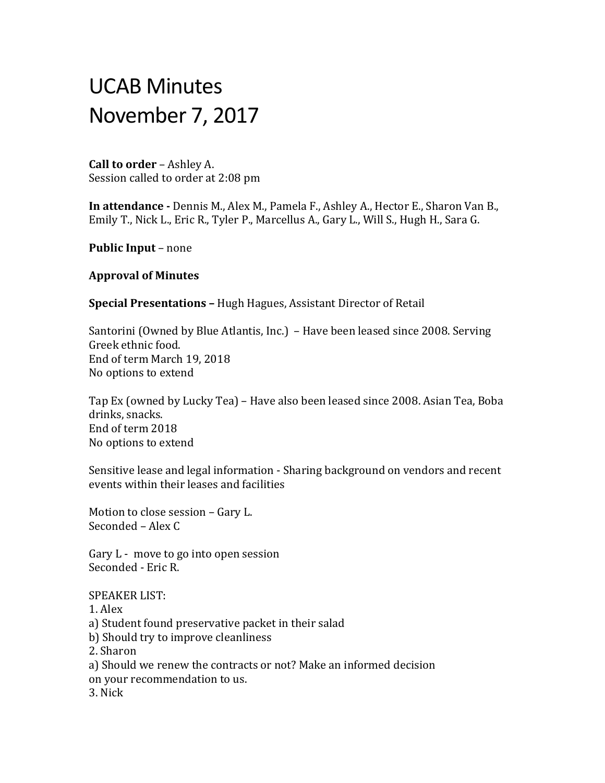# UCAB Minutes November 7, 2017

**Call to order** – Ashley A. Session called to order at 2:08 pm

**In attendance -** Dennis M., Alex M., Pamela F., Ashley A., Hector E., Sharon Van B., Emily T., Nick L., Eric R., Tyler P., Marcellus A., Gary L., Will S., Hugh H., Sara G.

**Public Input** – none

### **Approval of Minutes**

**Special Presentations –** Hugh Hagues, Assistant Director of Retail

Santorini (Owned by Blue Atlantis, Inc.) – Have been leased since 2008. Serving Greek ethnic food. End of term March 19, 2018 No options to extend

Tap Ex (owned by Lucky Tea) – Have also been leased since 2008. Asian Tea, Boba drinks, snacks. End of term 2018 No options to extend

Sensitive lease and legal information - Sharing background on vendors and recent events within their leases and facilities

Motion to close session – Gary L. Seconded – Alex C

Gary L - move to go into open session Seconded - Eric R.

SPEAKER LIST:

1. Alex a) Student found preservative packet in their salad b) Should try to improve cleanliness 2. Sharon a) Should we renew the contracts or not? Make an informed decision on your recommendation to us.

3. Nick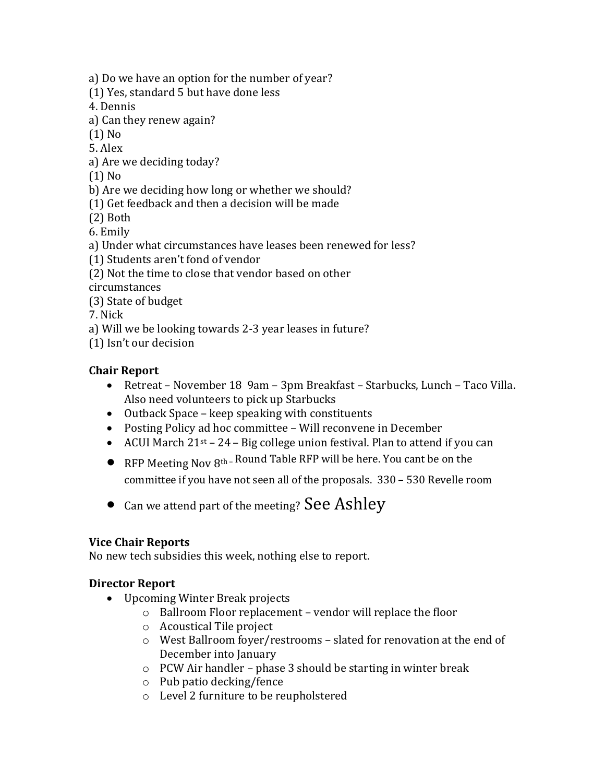a) Do we have an option for the number of year?

(1) Yes, standard 5 but have done less

4. Dennis

a) Can they renew again?

(1) No

5. Alex

a) Are we deciding today?

(1) No

b) Are we deciding how long or whether we should?

(1) Get feedback and then a decision will be made

(2) Both

6. Emily

a) Under what circumstances have leases been renewed for less?

(1) Students aren't fond of vendor

(2) Not the time to close that vendor based on other

circumstances

(3) State of budget

7. Nick

a) Will we be looking towards 2-3 year leases in future?

(1) Isn't our decision

# **Chair Report**

- Retreat November 18 9am 3pm Breakfast Starbucks, Lunch Taco Villa. Also need volunteers to pick up Starbucks
- Outback Space keep speaking with constituents
- Posting Policy ad hoc committee Will reconvene in December
- ACUI March  $21^{st}$   $24$  Big college union festival. Plan to attend if you can
- **•** RFP Meeting Nov  $8<sup>th</sup>$ -Round Table RFP will be here. You cant be on the

committee if you have not seen all of the proposals. 330 – 530 Revelle room

• Can we attend part of the meeting? See Ashley

# **Vice Chair Reports**

No new tech subsidies this week, nothing else to report.

# **Director Report**

- Upcoming Winter Break projects
	- o Ballroom Floor replacement vendor will replace the floor
	- o Acoustical Tile project
	- o West Ballroom foyer/restrooms slated for renovation at the end of December into January
	- o PCW Air handler phase 3 should be starting in winter break
	- o Pub patio decking/fence
	- o Level 2 furniture to be reupholstered